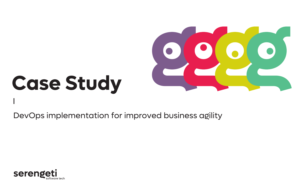

# **Case Study**

DevOps implementation for improved business agility

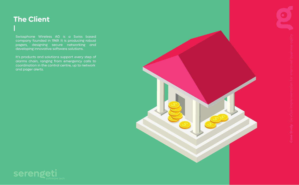## **The Client**

Swissphone Wireless AG is a Swiss based company founded in 1969. It is producing robust pagers, designing secure networking and developing innovative software solutions.

It's products and solutions support every step of alarms chain, ranging from emergency calls to coordination in the control centre, up to network and pager alerts.



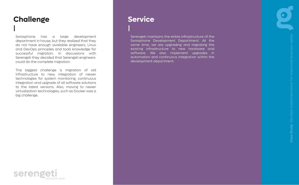### **Challenge**

Swissphone has a large development department in house, but they realized that they do not have enough available engineers, Linux and DevOps principles and tools knowledge for successful migration. In discussions with Serengeti they decided that Serengeti engineers could do the complete migration.

The biggest challenge is migration of old infrastructure to new, integration of newer technologies for system monitoring, continuous integration and upgrade of all software solutions to the latest versions. Also, moving to newer virtualization technologies, such as Docker was a big challenge.

#### **Service**

Serengeti maintains the entire infrastructure of the Swissphone Development Department. At the same time, we are upgrading and migrating the existing infrastructure to new hardware and software. We also implement upgrades in automation and continuous integration within the development department.



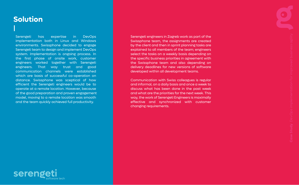#### **Solution**

Serengeti has expertise in DevOps implementation both in Linux and Windows environments. Swissphone decided to engage Serengeti team to design and implement DevOps system. Implementation is ongoing process. In the first phase of onsite work, customer engineers worked together with Serengeti engineers. That way trust and good communication channels were established which are basis of successful co-operation on distance. Swissphone was sceptical of how efficient the Serengeti engineers would be to operate at a remote location. However, because of the good preparation and proven engagement model, moving to a remote location was smooth and the team quickly achieved full productivity.

Serengeti engineers in Zagreb work as part of the Swissphone team, the assignments are created by the client and then in sprint planning tasks are explained to all members of the team; engineers select the tasks on a weekly basis depending on the specific business priorities in agreement with the Swissphone team and also depending on delivery deadlines for new versions of software developed within all development teams.

Communication with Swiss colleagues is regular and informal, on a daily basis and once a week to discuss what has been done in the past week and what are the priorities for the next week. This way, the work of Serengeti Engineers is maximally effective and synchronized with customer changing requirements.

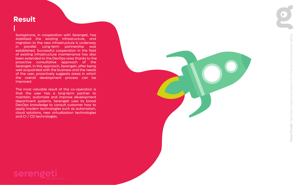#### **Result**

Swissphone, in cooperation with Serengeti, has stabilized the existing infrastructure, and migration to the new infrastructure is underway in parallel. Long-term partnership was established. Successful cooperation in the field of existing infrastructure maintenance has also been extended to the DevOps area thanks to the proactive consultative approach of the Serengeti. In this approach, Serengeti, after being well acquainted with the business and the needs of the user, proactively suggests areas in which the overall development process can be improved.

The most valuable result of this co-operation is that the user has a long-term partner to maintain, automate and improve development department systems. Serengeti uses its broad DevOps knowledge to consult customer how to apply modern technologies such as automation, cloud solutions, new virtualization technologies and CI / CD technologies.

**Case Study** DevOps implementation for improved business agility

DevOps implementation

Case Study

for improved business agility